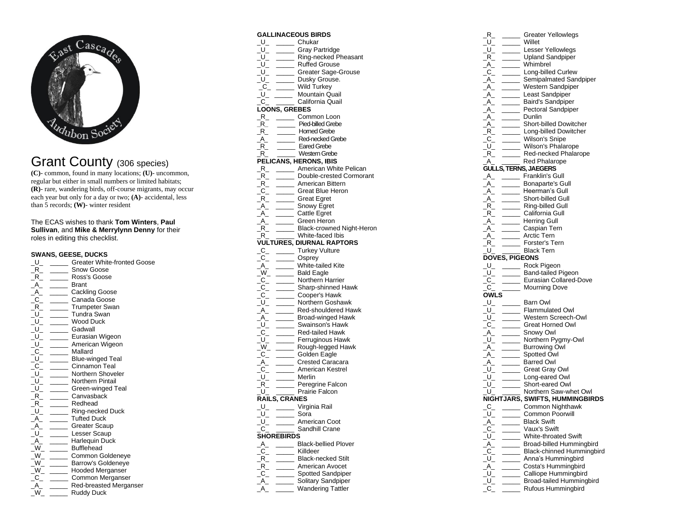

## Grant County (306 species)

**(C)**- common, found in many locations; **(U)**- uncommon, regular but either in small numbers or limited habitats; **(R)**- rare, wandering birds, off-course migrants, may occur each year but only for a day or two; **(A)**- accidental, less than 5 records; **(W)**- winter resident

The ECAS wishes to thank **Tom Winters**, **Paul Sullivan**, and **Mike & Merrylynn Denny** for their roles in editing this checklist.

## **SWANS, GEESE, DUCKS**

| $U_{-}$                                             | <b>Greater White-fronted Goose</b> |  |
|-----------------------------------------------------|------------------------------------|--|
| R.                                                  | Snow Goose                         |  |
| $R_{-}$                                             | Ross's Goose                       |  |
| $\mathsf{A}\rule{0.1mm}{1.1mm}$                     | <b>Brant</b>                       |  |
| $A_{-}$                                             | _ Cackling Goose                   |  |
| $R_{-}^{-}$                                         | Canada Goose                       |  |
|                                                     | <b>Trumpeter Swan</b>              |  |
|                                                     | <b>Tundra Swan</b>                 |  |
|                                                     | <b>Wood Duck</b>                   |  |
| $\begin{bmatrix} 1 \\ -1 \\ -1 \\ -1 \end{bmatrix}$ | Gadwall                            |  |
| $U_-\,$                                             | Eurasian Wigeon                    |  |
| $\_$ U $\_$                                         | American Wigeon                    |  |
| $\_C$                                               | Mallard                            |  |
|                                                     | <b>Blue-winged Teal</b>            |  |
|                                                     | Cinnamon Teal                      |  |
|                                                     | Northern Shoveler                  |  |
|                                                     | <b>Northern Pintail</b>            |  |
|                                                     | Green-winged Teal                  |  |
| $R$ <sub>-</sub>                                    | Canvasback                         |  |
|                                                     | Redhead                            |  |
| $R_{-}$<br>$ L_{-}$<br>$ R_{-}$                     | Ring-necked Duck                   |  |
|                                                     | <b>Tufted Duck</b>                 |  |
| $A_{-}$                                             | Greater Scaup                      |  |
| $\bar{U}_-$                                         | Lesser Scaup                       |  |
| $A_{-}$                                             | <b>Harlequin Duck</b>              |  |
| $W_{-}$                                             | <b>Bufflehead</b>                  |  |
| $W_{-}$                                             | Common Goldeneye                   |  |
| $W_{-}$ .                                           | <b>Barrow's Goldeneye</b>          |  |
| $W_{-}$                                             | <b>Hooded Merganser</b>            |  |
| $C_{-}$                                             | Common Merganser                   |  |
| $A_{-}$                                             | Red-breasted Merganser             |  |
| W                                                   | <b>Ruddy Duck</b>                  |  |

## **GALLINACEOUS BIRDS**

| <b>GALLINACEOUS BIRDS</b>                                                                              |                                                                                                                                                                                                                                                                                                                                             |
|--------------------------------------------------------------------------------------------------------|---------------------------------------------------------------------------------------------------------------------------------------------------------------------------------------------------------------------------------------------------------------------------------------------------------------------------------------------|
|                                                                                                        | U_ _____ Chukar<br>U_ ______ Chay Partridge<br>U_ ______ Gray Partridge<br>U_ ______ Ruffed Grouse<br>U_ ______ Greater Sage-Grouse<br>U_ ______ Wild Turkey<br>U_ ______ Mountain Quail<br>LOONS GPERES                                                                                                                                    |
|                                                                                                        |                                                                                                                                                                                                                                                                                                                                             |
|                                                                                                        |                                                                                                                                                                                                                                                                                                                                             |
|                                                                                                        |                                                                                                                                                                                                                                                                                                                                             |
|                                                                                                        |                                                                                                                                                                                                                                                                                                                                             |
|                                                                                                        |                                                                                                                                                                                                                                                                                                                                             |
|                                                                                                        |                                                                                                                                                                                                                                                                                                                                             |
|                                                                                                        |                                                                                                                                                                                                                                                                                                                                             |
|                                                                                                        |                                                                                                                                                                                                                                                                                                                                             |
| <b>LOONS, GREBES</b>                                                                                   |                                                                                                                                                                                                                                                                                                                                             |
|                                                                                                        |                                                                                                                                                                                                                                                                                                                                             |
|                                                                                                        | $R_{-}$ $\frac{1}{2}$ $\frac{1}{2}$ $\frac{1}{2}$ $\frac{1}{2}$ $\frac{1}{2}$ $\frac{1}{2}$ $\frac{1}{2}$ $\frac{1}{2}$ $\frac{1}{2}$ $\frac{1}{2}$ $\frac{1}{2}$ $\frac{1}{2}$ $\frac{1}{2}$ $\frac{1}{2}$ $\frac{1}{2}$ $\frac{1}{2}$ $\frac{1}{2}$ $\frac{1}{2}$ $\frac{1}{2}$ $\frac{1}{2}$ $\frac{1}{2}$ $\frac{$<br>Pied-billed Grebe |
|                                                                                                        |                                                                                                                                                                                                                                                                                                                                             |
|                                                                                                        | Red-necked Grebe                                                                                                                                                                                                                                                                                                                            |
|                                                                                                        |                                                                                                                                                                                                                                                                                                                                             |
| FR. The Pied-billed Green<br>R. Homed Grebe<br>A. R. Eared Grebe<br>R. Eared Grebe<br>R. Western Grebe |                                                                                                                                                                                                                                                                                                                                             |
|                                                                                                        | Western Grebe                                                                                                                                                                                                                                                                                                                               |
|                                                                                                        | PELICANS, HERONS, IBIS                                                                                                                                                                                                                                                                                                                      |
|                                                                                                        |                                                                                                                                                                                                                                                                                                                                             |
|                                                                                                        | Double-crested Cormorant                                                                                                                                                                                                                                                                                                                    |
|                                                                                                        |                                                                                                                                                                                                                                                                                                                                             |
|                                                                                                        |                                                                                                                                                                                                                                                                                                                                             |
|                                                                                                        |                                                                                                                                                                                                                                                                                                                                             |
|                                                                                                        |                                                                                                                                                                                                                                                                                                                                             |
|                                                                                                        |                                                                                                                                                                                                                                                                                                                                             |
|                                                                                                        |                                                                                                                                                                                                                                                                                                                                             |
|                                                                                                        | Black-crowned Night-Heron                                                                                                                                                                                                                                                                                                                   |
|                                                                                                        |                                                                                                                                                                                                                                                                                                                                             |
|                                                                                                        | <b>VULTURES, DIURNAL RAPTORS</b>                                                                                                                                                                                                                                                                                                            |
|                                                                                                        |                                                                                                                                                                                                                                                                                                                                             |
|                                                                                                        |                                                                                                                                                                                                                                                                                                                                             |
|                                                                                                        | C_ ______ Turkey Vulture<br>C_ ____ Osprey<br>A_ ____ White-tailed Kite<br>_W_ ____ Bald Eagle<br>Northern Herrier                                                                                                                                                                                                                          |
|                                                                                                        |                                                                                                                                                                                                                                                                                                                                             |
|                                                                                                        |                                                                                                                                                                                                                                                                                                                                             |
|                                                                                                        |                                                                                                                                                                                                                                                                                                                                             |
|                                                                                                        |                                                                                                                                                                                                                                                                                                                                             |
|                                                                                                        |                                                                                                                                                                                                                                                                                                                                             |
|                                                                                                        |                                                                                                                                                                                                                                                                                                                                             |
|                                                                                                        |                                                                                                                                                                                                                                                                                                                                             |
|                                                                                                        |                                                                                                                                                                                                                                                                                                                                             |
|                                                                                                        |                                                                                                                                                                                                                                                                                                                                             |
|                                                                                                        |                                                                                                                                                                                                                                                                                                                                             |
|                                                                                                        |                                                                                                                                                                                                                                                                                                                                             |
|                                                                                                        |                                                                                                                                                                                                                                                                                                                                             |
|                                                                                                        |                                                                                                                                                                                                                                                                                                                                             |
|                                                                                                        |                                                                                                                                                                                                                                                                                                                                             |
|                                                                                                        |                                                                                                                                                                                                                                                                                                                                             |
|                                                                                                        |                                                                                                                                                                                                                                                                                                                                             |
|                                                                                                        |                                                                                                                                                                                                                                                                                                                                             |
|                                                                                                        |                                                                                                                                                                                                                                                                                                                                             |
| <b>RAILS, CRANES</b>                                                                                   |                                                                                                                                                                                                                                                                                                                                             |
|                                                                                                        |                                                                                                                                                                                                                                                                                                                                             |
| _U_ _______ Virginia Rail                                                                              |                                                                                                                                                                                                                                                                                                                                             |
| _____ Sora<br>$\overline{\overline{\overline{u}}}$ U $\overline{\overline{\overline{u}}}$              |                                                                                                                                                                                                                                                                                                                                             |
| $U_{-}$                                                                                                | American Coot                                                                                                                                                                                                                                                                                                                               |
| $\mathsf{C}\,$                                                                                         | Sandhill Crane                                                                                                                                                                                                                                                                                                                              |
| SHOREBIRDS                                                                                             |                                                                                                                                                                                                                                                                                                                                             |
| $A_{-}$                                                                                                | <b>Black-bellied Plover</b>                                                                                                                                                                                                                                                                                                                 |
| $C_{-}$                                                                                                | Killdeer                                                                                                                                                                                                                                                                                                                                    |
| $R_{-}$<br>$\sim$                                                                                      | <b>Black-necked Stilt</b>                                                                                                                                                                                                                                                                                                                   |
| $R_{-}$<br>$\overline{\phantom{a}}$                                                                    | American Avocet                                                                                                                                                                                                                                                                                                                             |
| $C_{-}$<br>$\overline{\phantom{a}}$                                                                    | Spotted Sandpiper                                                                                                                                                                                                                                                                                                                           |
| $A_{-}$                                                                                                | Solitary Sandpiper                                                                                                                                                                                                                                                                                                                          |
|                                                                                                        | <b>Wandering Tattler</b>                                                                                                                                                                                                                                                                                                                    |

| $\bar{\mathsf{R}}_-$                             |                       |                                                                                                                                                                                                                                                                                                                                                                                                                                                                                                            |
|--------------------------------------------------|-----------------------|------------------------------------------------------------------------------------------------------------------------------------------------------------------------------------------------------------------------------------------------------------------------------------------------------------------------------------------------------------------------------------------------------------------------------------------------------------------------------------------------------------|
| $\mathsf{U}_{-}$                                 |                       |                                                                                                                                                                                                                                                                                                                                                                                                                                                                                                            |
|                                                  |                       |                                                                                                                                                                                                                                                                                                                                                                                                                                                                                                            |
|                                                  |                       |                                                                                                                                                                                                                                                                                                                                                                                                                                                                                                            |
|                                                  |                       |                                                                                                                                                                                                                                                                                                                                                                                                                                                                                                            |
|                                                  |                       | U_ U_ Lesser Yellowlegs<br>_R_ _____ Upland Sandpiper<br>_A_ _____ Whimbrel                                                                                                                                                                                                                                                                                                                                                                                                                                |
|                                                  |                       | $\begin{array}{r}\n\begin{array}{r}\nA \\ \hline\nA \\ \hline\nA \\ \hline\nA \\ \hline\n\end{array}\n\end{array}\n\qquad\n\begin{array}{r}\n\hline\n\text{Long-bine}\n\end{array}\n\end{array}\n\begin{array}{r}\n\hline\n\text{Sempalimated San.}\n\end{array}\n\qquad\n\begin{array}{r}\n\hline\n\text{Sempalimated San.}\n\end{array}\n\qquad\n\begin{array}{r}\n\hline\n\text{Momentum} \\ \hline\n\end{array}\n\end{array}\n\qquad\n\begin{array}{r}\n\hline\n\text{Momentum} \\ \hline\n\end{array$ |
|                                                  |                       | Semipalmated Sandpiper                                                                                                                                                                                                                                                                                                                                                                                                                                                                                     |
|                                                  |                       |                                                                                                                                                                                                                                                                                                                                                                                                                                                                                                            |
|                                                  |                       |                                                                                                                                                                                                                                                                                                                                                                                                                                                                                                            |
|                                                  |                       |                                                                                                                                                                                                                                                                                                                                                                                                                                                                                                            |
|                                                  |                       |                                                                                                                                                                                                                                                                                                                                                                                                                                                                                                            |
|                                                  |                       |                                                                                                                                                                                                                                                                                                                                                                                                                                                                                                            |
|                                                  |                       |                                                                                                                                                                                                                                                                                                                                                                                                                                                                                                            |
|                                                  |                       |                                                                                                                                                                                                                                                                                                                                                                                                                                                                                                            |
|                                                  |                       |                                                                                                                                                                                                                                                                                                                                                                                                                                                                                                            |
|                                                  |                       |                                                                                                                                                                                                                                                                                                                                                                                                                                                                                                            |
|                                                  |                       |                                                                                                                                                                                                                                                                                                                                                                                                                                                                                                            |
|                                                  |                       |                                                                                                                                                                                                                                                                                                                                                                                                                                                                                                            |
| A                                                |                       | Red-necked Phalarope<br>Red Phalarope                                                                                                                                                                                                                                                                                                                                                                                                                                                                      |
|                                                  |                       |                                                                                                                                                                                                                                                                                                                                                                                                                                                                                                            |
|                                                  |                       | <b>GULLS, TERNS, JAEGERS</b><br><b>GULLS, IERNS, JAEGERS</b><br>A_ Franklin's Gull<br>A_ Bonaparte's Gull<br>A_ Short-billed Gull<br>R_ Short-billed Gull<br>R_ California Gull<br>A_ California Gull<br>A_ Caspian Tern<br>A_ Caspian Tern<br>A_ Forster's Tern<br>D_C_ Forster's Tern                                                                                                                                                                                                                    |
|                                                  |                       |                                                                                                                                                                                                                                                                                                                                                                                                                                                                                                            |
|                                                  |                       | <b>Example 15 Bonaparte's Gull</b>                                                                                                                                                                                                                                                                                                                                                                                                                                                                         |
|                                                  |                       |                                                                                                                                                                                                                                                                                                                                                                                                                                                                                                            |
|                                                  |                       |                                                                                                                                                                                                                                                                                                                                                                                                                                                                                                            |
|                                                  |                       |                                                                                                                                                                                                                                                                                                                                                                                                                                                                                                            |
|                                                  |                       |                                                                                                                                                                                                                                                                                                                                                                                                                                                                                                            |
|                                                  |                       |                                                                                                                                                                                                                                                                                                                                                                                                                                                                                                            |
|                                                  |                       |                                                                                                                                                                                                                                                                                                                                                                                                                                                                                                            |
|                                                  |                       |                                                                                                                                                                                                                                                                                                                                                                                                                                                                                                            |
|                                                  |                       |                                                                                                                                                                                                                                                                                                                                                                                                                                                                                                            |
|                                                  |                       |                                                                                                                                                                                                                                                                                                                                                                                                                                                                                                            |
|                                                  |                       |                                                                                                                                                                                                                                                                                                                                                                                                                                                                                                            |
|                                                  | <b>DOVES, PIGEONS</b> |                                                                                                                                                                                                                                                                                                                                                                                                                                                                                                            |
|                                                  |                       | _U_ ______ Rock Pigeon                                                                                                                                                                                                                                                                                                                                                                                                                                                                                     |
| $\_$ U $\_$                                      |                       | _____ Band-tailed Pigeon                                                                                                                                                                                                                                                                                                                                                                                                                                                                                   |
|                                                  |                       | Eurasian Collared-Dove                                                                                                                                                                                                                                                                                                                                                                                                                                                                                     |
| $\frac{-C_{-}}{C_{-}}$                           |                       |                                                                                                                                                                                                                                                                                                                                                                                                                                                                                                            |
| $\mathsf{C}_-$                                   |                       | Mourning Dove                                                                                                                                                                                                                                                                                                                                                                                                                                                                                              |
| <b>OWLS</b>                                      |                       |                                                                                                                                                                                                                                                                                                                                                                                                                                                                                                            |
| $U_{-}$                                          |                       | ______ Barn Owl                                                                                                                                                                                                                                                                                                                                                                                                                                                                                            |
|                                                  |                       |                                                                                                                                                                                                                                                                                                                                                                                                                                                                                                            |
|                                                  |                       |                                                                                                                                                                                                                                                                                                                                                                                                                                                                                                            |
|                                                  |                       |                                                                                                                                                                                                                                                                                                                                                                                                                                                                                                            |
|                                                  |                       |                                                                                                                                                                                                                                                                                                                                                                                                                                                                                                            |
|                                                  |                       |                                                                                                                                                                                                                                                                                                                                                                                                                                                                                                            |
|                                                  |                       |                                                                                                                                                                                                                                                                                                                                                                                                                                                                                                            |
|                                                  |                       |                                                                                                                                                                                                                                                                                                                                                                                                                                                                                                            |
|                                                  |                       |                                                                                                                                                                                                                                                                                                                                                                                                                                                                                                            |
|                                                  |                       |                                                                                                                                                                                                                                                                                                                                                                                                                                                                                                            |
|                                                  |                       |                                                                                                                                                                                                                                                                                                                                                                                                                                                                                                            |
|                                                  |                       |                                                                                                                                                                                                                                                                                                                                                                                                                                                                                                            |
|                                                  |                       |                                                                                                                                                                                                                                                                                                                                                                                                                                                                                                            |
|                                                  |                       |                                                                                                                                                                                                                                                                                                                                                                                                                                                                                                            |
|                                                  |                       | NIGHTJARS, SWIFTS, HUMMINGBIRDS                                                                                                                                                                                                                                                                                                                                                                                                                                                                            |
|                                                  |                       |                                                                                                                                                                                                                                                                                                                                                                                                                                                                                                            |
| $\_C\_$                                          |                       | Common Nighthawk                                                                                                                                                                                                                                                                                                                                                                                                                                                                                           |
| $\begin{bmatrix} 1 & 1 \\ -1 & -1 \end{bmatrix}$ |                       | <b>Common Poorwill</b>                                                                                                                                                                                                                                                                                                                                                                                                                                                                                     |
| $A_{-}$                                          |                       | <b>Black Swift</b>                                                                                                                                                                                                                                                                                                                                                                                                                                                                                         |
| $C_{-}$                                          |                       | Vaux's Swift                                                                                                                                                                                                                                                                                                                                                                                                                                                                                               |
| $U_{-}$                                          |                       | White-throated Swift                                                                                                                                                                                                                                                                                                                                                                                                                                                                                       |
| $A_{-}$                                          |                       | Broad-billed Hummingbird                                                                                                                                                                                                                                                                                                                                                                                                                                                                                   |
| $C_{-}$                                          |                       | <b>Black-chinned Hummingbird</b>                                                                                                                                                                                                                                                                                                                                                                                                                                                                           |
|                                                  |                       |                                                                                                                                                                                                                                                                                                                                                                                                                                                                                                            |
|                                                  |                       |                                                                                                                                                                                                                                                                                                                                                                                                                                                                                                            |
| $U_{-}$                                          |                       | Anna's Hummingbird                                                                                                                                                                                                                                                                                                                                                                                                                                                                                         |
| $A_{-}$                                          |                       | Costa's Hummingbird                                                                                                                                                                                                                                                                                                                                                                                                                                                                                        |
| U                                                |                       | Calliope Hummingbird                                                                                                                                                                                                                                                                                                                                                                                                                                                                                       |
| <u>ັ</u> ບ_<br>$\mathrm{C}_{-}$                  |                       | Broad-tailed Hummingbird<br>Rufous Hummingbird                                                                                                                                                                                                                                                                                                                                                                                                                                                             |